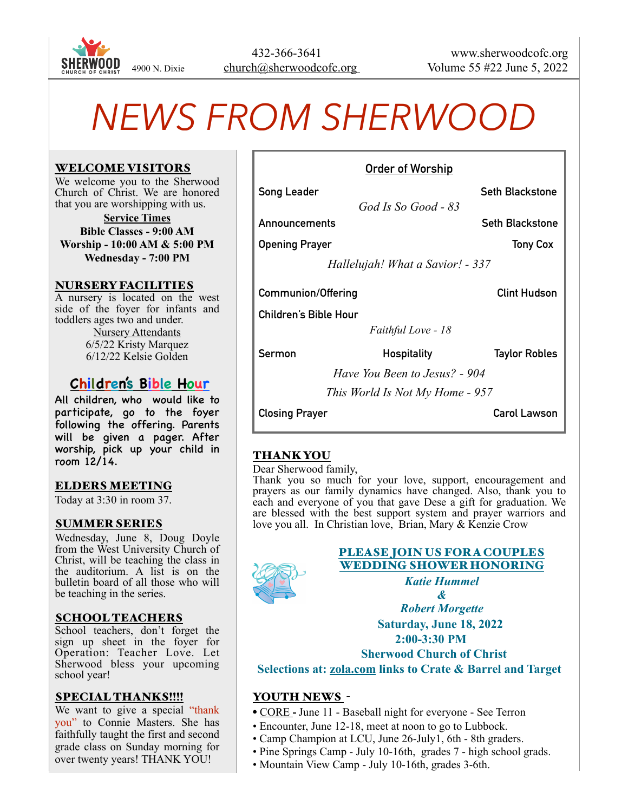

# *NEWS FROM SHERWOOD*

#### WELCOME VISITORS

We welcome you to the Sherwood Church of Christ. We are honored that you are worshipping with us.

**Service Times Bible Classes - 9:00 AM Worship - 10:00 AM & 5:00 PM Wednesday - 7:00 PM**

#### NURSERY FACILITIES

A nursery is located on the west side of the foyer for infants and toddlers ages two and under. Nursery Attendants 6/5/22 Kristy Marquez 6/12/22 Kelsie Golden

# **Children's Bible Hour**

All children, who would like to participate, go to the foyer following the offering. Parents will be given a pager. After worship, pick up your child in room  $12/14$ .

## ELDERS MEETING

Today at 3:30 in room 37.

#### SUMMER SERIES

Wednesday, June 8, Doug Doyle from the West University Church of Christ, will be teaching the class in the auditorium. A list is on the bulletin board of all those who will be teaching in the series.

## SCHOOL TEACHERS

School teachers, don't forget the sign up sheet in the foyer for Operation: Teacher Love. Let Sherwood bless your upcoming school year!

#### SPECIAL THANKS!!!!

We want to give a special "thank" you" to Connie Masters. She has faithfully taught the first and second grade class on Sunday morning for over twenty years! THANK YOU!

| <u>Allaci Al IIAI Allia</u>      |                        |  |
|----------------------------------|------------------------|--|
| Song Leader                      | <b>Seth Blackstone</b> |  |
| God Is So Good - 83              |                        |  |
| Announcements                    | <b>Seth Blackstone</b> |  |
| <b>Opening Prayer</b>            | <b>Tony Cox</b>        |  |
| Hallelujah! What a Savior! - 337 |                        |  |
| <b>Communion/Offering</b>        | <b>Clint Hudson</b>    |  |
| <b>Children's Bible Hour</b>     |                        |  |
| Faithful Love - 18               |                        |  |
| Sermon<br><b>Hospitality</b>     | <b>Taylor Robles</b>   |  |
| Have You Been to Jesus? - 904    |                        |  |
| This World Is Not My Home - 957  |                        |  |
| <b>Closing Prayer</b>            | Carol Lawson           |  |
|                                  |                        |  |

**Order of Worship**

# THANK YOU

Dear Sherwood family,

Thank you so much for your love, support, encouragement and prayers as our family dynamics have changed. Also, thank you to each and everyone of you that gave Dese a gift for graduation. We are blessed with the best support system and prayer warriors and love you all. In Christian love, Brian, Mary & Kenzie Crow



# PLEASE JOIN US FORA COUPLES WEDDING SHOWER HONORING

*Katie Hummel*

*& Robert Morgette*  **Saturday, June 18, 2022 2:00-3:30 PM Sherwood Church of Christ Selections at: [zola.com](http://zola.com) links to Crate & Barrel and Target** 

## YOUTH NEWS -

- CORE **-** June 11 Baseball night for everyone See Terron
- Encounter, June 12-18, meet at noon to go to Lubbock.
- Camp Champion at LCU, June 26-July1, 6th 8th graders.
- Pine Springs Camp July 10-16th, grades 7 high school grads.
- Mountain View Camp July 10-16th, grades 3-6th.